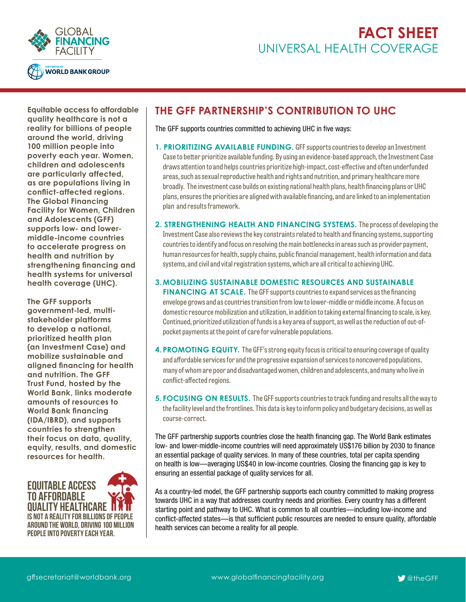



**Equitable access to affordable quality healthcare is not a reality for billions of people around the world, driving 100 million people into poverty each year. Women, children and adolescents are particularly affected, as are populations living in conflict-affected regions. The Global Financing Facility for Women, Children and Adolescents (GFF) supports low- and lowermiddle-income countries to accelerate progress on health and nutrition by strengthening financing and health systems for universal health coverage (UHC).** 

**The GFF supports government-led, multistakeholder platforms to develop a national, prioritized health plan (an Investment Case) and mobilize sustainable and aligned financing for health and nutrition. The GFF Trust Fund, hosted by the World Bank, links moderate amounts of resources to World Bank financing (IDA/IBRD), and supports countries to strengthen their focus on data, quality, equity, results, and domestic resources for health.**



## **THE GFF PARTNERSHIP'S CONTRIBUTION TO UHC**

The GFF supports countries committed to achieving UHC in five ways:

- **1. PRIORITIZING AVAILABLE FUNDING.** GFF supports countries to develop an Investment Case to better prioritize available funding. By using an evidence-based approach, the Investment Case draws attention to and helps countries prioritize high-impact, cost-effective and often underfunded areas, such as sexual reproductive health and rights and nutrition, and primary healthcare more broadly. The investment case builds on existing national health plans, health financing plans or UHC plans, ensures the priorities are aligned with available financing, and are linked to an implementation plan and results framework.
- **2. STRENGTHENING HEALTH AND FINANCING SYSTEMS.** The process of developing the Investment Case also reviews the key constraints related to health and financing systems, supporting countries to identify and focus on resolving the main bottlenecks in areas such as provider payment, human resources for health, supply chains, public financial management, health information and data systems, and civil and vital registration systems, which are all critical to achieving UHC.

### **3.MOBILIZING SUSTAINABLE DOMESTIC RESOURCES AND SUSTAINABLE**

**FINANCING AT SCALE.** The GFF supports countries to expand services as the financing envelope grows and as countries transition from low to lower-middle or middle income. A focus on domestic resource mobilization and utilization, in addition to taking external financing to scale, is key. Continued, prioritized utilization of funds is a key area of support, as well as the reduction of out-ofpocket payments at the point of care for vulnerable populations.

- **4. PROMOTING EQUITY.** The GFF's strong equity focus is critical to ensuring coverage of quality and affordable services for and the progressive expansion of services to noncovered populations, many of whom are poor and disadvantaged women, children and adolescents, and many who live in conflict-affected regions.
- **5. FOCUSING ON RESULTS.** The GFF supports countries to track funding and results all the way to the facility level and the frontlines. This data is key to inform policy and budgetary decisions, as well as course-correct.

The GFF partnership supports countries close the health financing gap. The World Bank estimates low- and lower-middle-income countries will need approximately US\$176 billion by 2030 to finance an essential package of quality services. In many of these countries, total per capita spending on health is low—averaging US\$40 in low-income countries. Closing the financing gap is key to ensuring an essential package of quality services for all.

As a country-led model, the GFF partnership supports each country committed to making progress towards UHC in a way that addresses country needs and priorities. Every country has a different starting point and pathway to UHC. What is common to all countries—including low-income and conflict-affected states—is that sufficient public resources are needed to ensure quality, affordable health services can become a reality for all people.